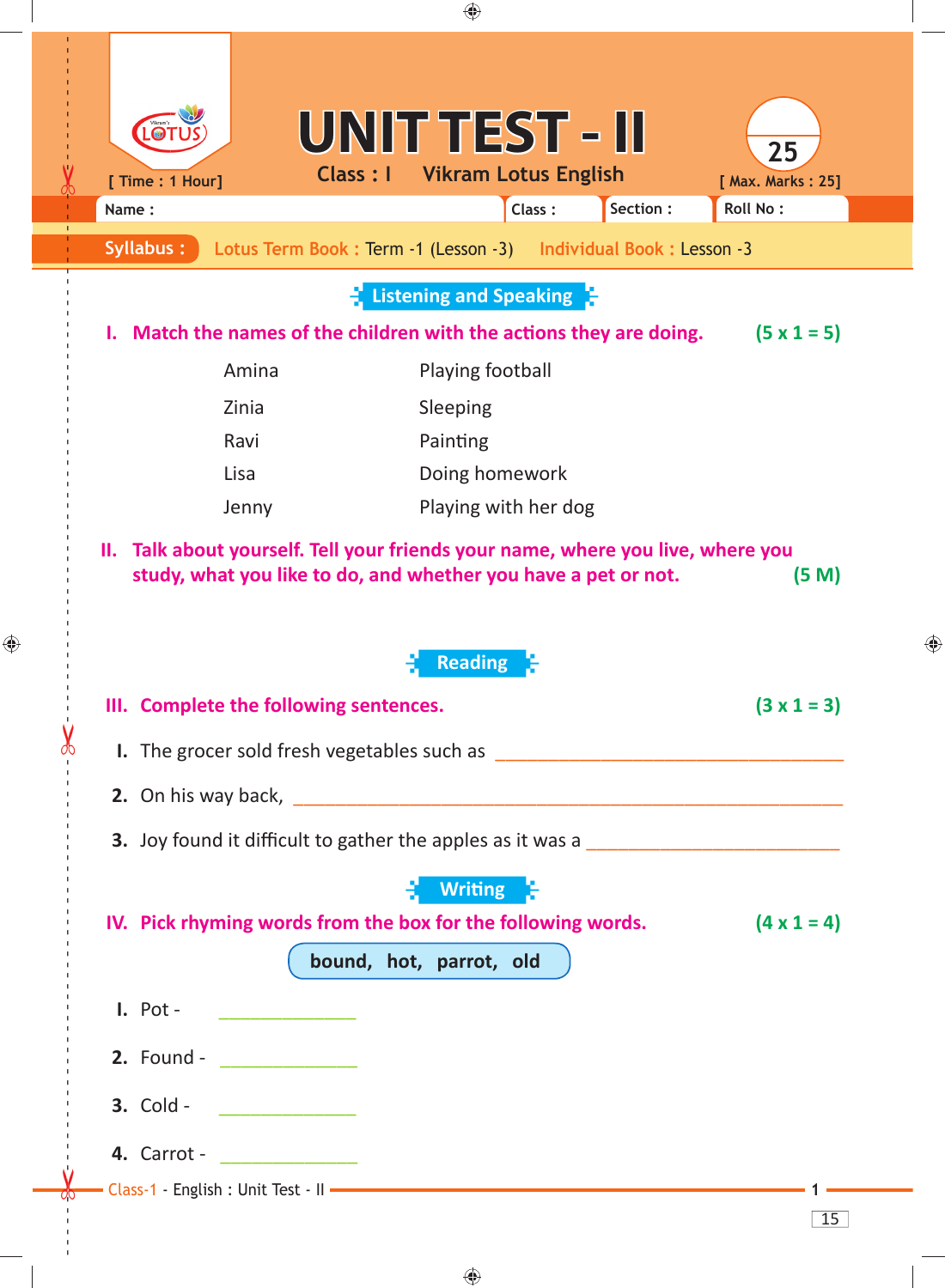

 $\bigoplus$